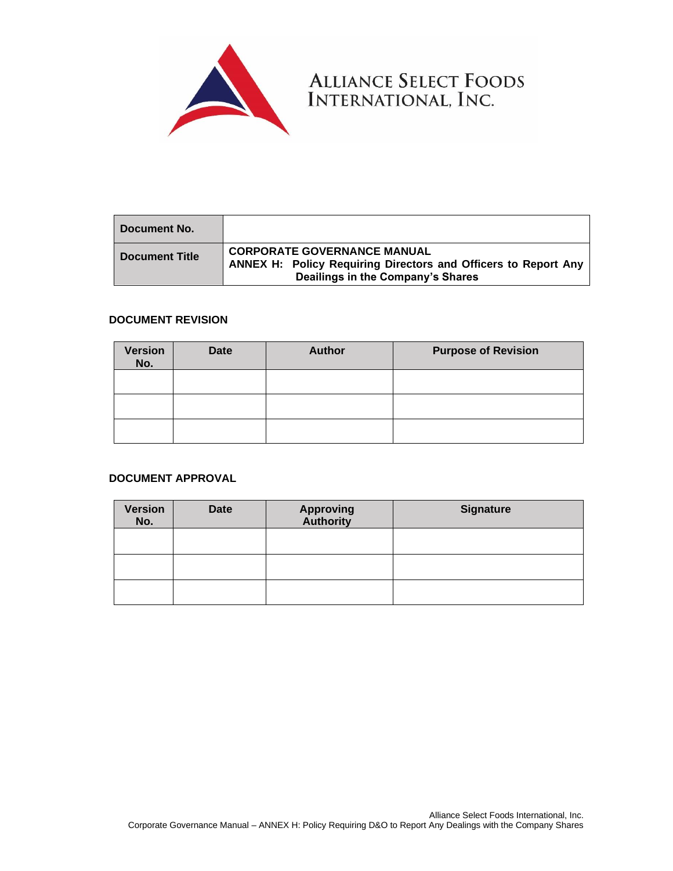

**Document No. Document Title CORPORATE GOVERNANCE MANUAL ANNEX H: Policy Requiring Directors and Officers to Report Any Deailings in the Company's Shares** 

ALLIANCE SELECT FOODS<br>INTERNATIONAL, INC.

#### **DOCUMENT REVISION**

| <b>Version</b><br>No. | <b>Date</b> | <b>Author</b> | <b>Purpose of Revision</b> |
|-----------------------|-------------|---------------|----------------------------|
|                       |             |               |                            |
|                       |             |               |                            |
|                       |             |               |                            |

#### **DOCUMENT APPROVAL**

| <b>Version</b><br>No. | <b>Date</b> | <b>Approving</b><br><b>Authority</b> | <b>Signature</b> |
|-----------------------|-------------|--------------------------------------|------------------|
|                       |             |                                      |                  |
|                       |             |                                      |                  |
|                       |             |                                      |                  |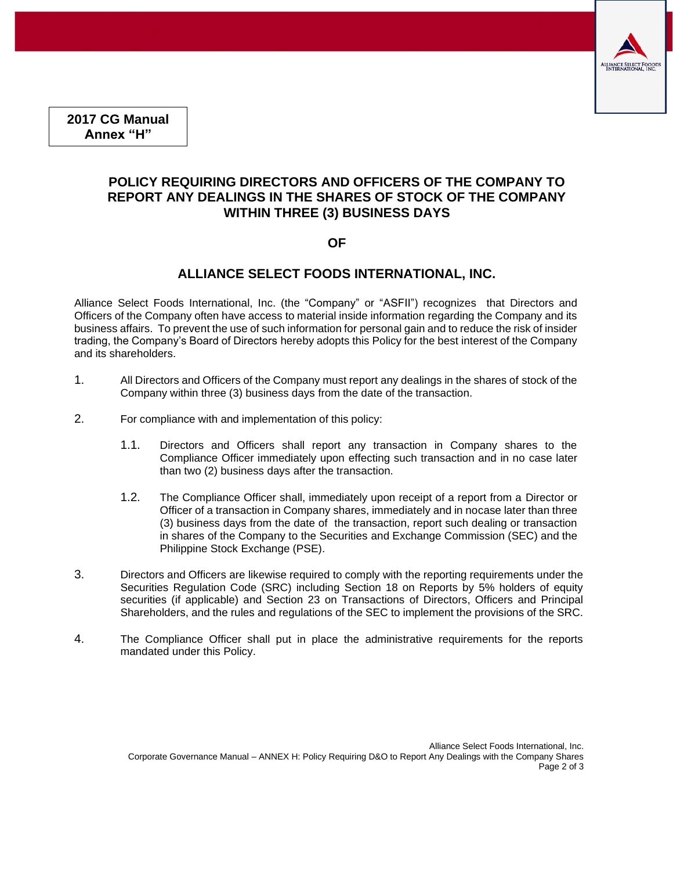

**2017 CG Manual Annex "H"**

# **POLICY REQUIRING DIRECTORS AND OFFICERS OF THE COMPANY TO REPORT ANY DEALINGS IN THE SHARES OF STOCK OF THE COMPANY WITHIN THREE (3) BUSINESS DAYS**

### **OF**

# **ALLIANCE SELECT FOODS INTERNATIONAL, INC.**

Alliance Select Foods International, Inc. (the "Company" or "ASFII") recognizes that Directors and Officers of the Company often have access to material inside information regarding the Company and its business affairs. To prevent the use of such information for personal gain and to reduce the risk of insider trading, the Company's Board of Directors hereby adopts this Policy for the best interest of the Company and its shareholders.

- 1. All Directors and Officers of the Company must report any dealings in the shares of stock of the Company within three (3) business days from the date of the transaction.
- 2. For compliance with and implementation of this policy:
	- 1.1. Directors and Officers shall report any transaction in Company shares to the Compliance Officer immediately upon effecting such transaction and in no case later than two (2) business days after the transaction.
	- 1.2. The Compliance Officer shall, immediately upon receipt of a report from a Director or Officer of a transaction in Company shares, immediately and in nocase later than three (3) business days from the date of the transaction, report such dealing or transaction in shares of the Company to the Securities and Exchange Commission (SEC) and the Philippine Stock Exchange (PSE).
- 3. Directors and Officers are likewise required to comply with the reporting requirements under the Securities Regulation Code (SRC) including Section 18 on Reports by 5% holders of equity securities (if applicable) and Section 23 on Transactions of Directors, Officers and Principal Shareholders, and the rules and regulations of the SEC to implement the provisions of the SRC.
- 4. The Compliance Officer shall put in place the administrative requirements for the reports mandated under this Policy.